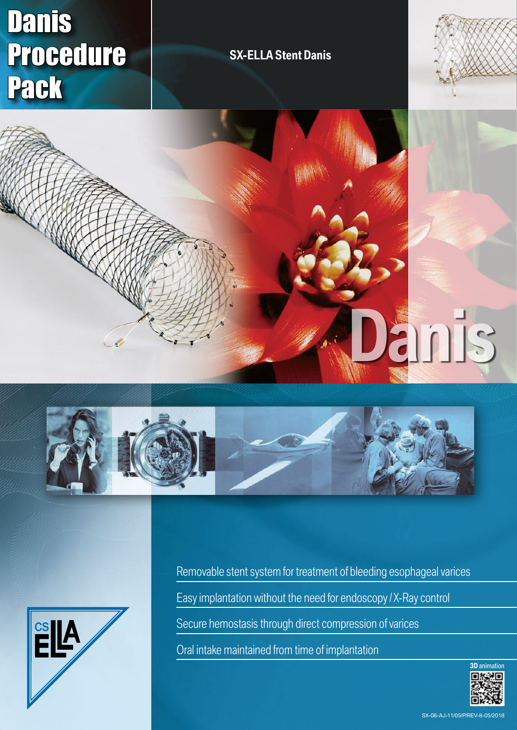# Danis Procedure Pack

## **SX-ELLA Stent Danis**









Removable stent system for treatment of bleeding esophageal varices Easy implantation without the need for endoscopy / X-Ray control Secure hemostasis through direct compression of varices Oral intake maintained from time of implantation